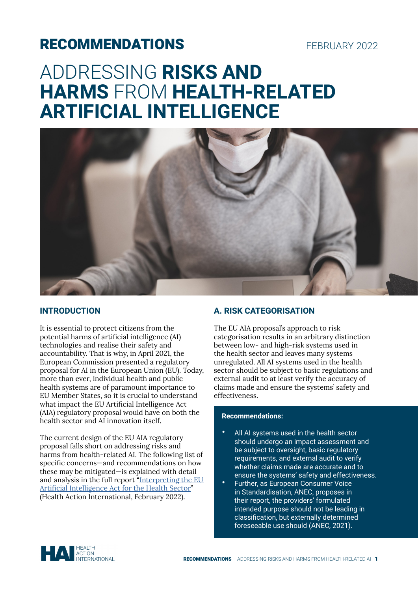# RECOMMENDATIONS

# FEBRUARY 2022

# ADDRESSING **RISKS AND HARMS** FROM **HEALTH-RELATED ARTIFICIAL INTELLIGENCE**



# **INTRODUCTION**

It is essential to protect citizens from the potential harms of artificial intelligence (AI) technologies and realise their safety and accountability. That is why, in April 2021, the European Commission presented a regulatory proposal for AI in the European Union (EU). Today, more than ever, individual health and public health systems are of paramount importance to EU Member States, so it is crucial to understand what impact the EU Artificial Intelligence Act (AIA) regulatory proposal would have on both the health sector and AI innovation itself.

The current design of the EU AIA regulatory proposal falls short on addressing risks and harms from health-related AI. The following list of specific concerns—and recommendations on how these may be mitigated—is explained with detail and analysis in the full report "Interpreting the EU [Artificial Intelligence Act for the Health Sector](https://haiweb.org/wp-content/uploads/2022/02/Interpreting-the-EU-Artificial-Intelligence-Act-for-the-Health-Sector.pdf)" (Health Action International, February 2022).

# **A. RISK CATEGORISATION**

The EU AIA proposal's approach to risk categorisation results in an arbitrary distinction between low- and high-risk systems used in the health sector and leaves many systems unregulated. All AI systems used in the health sector should be subject to basic regulations and external audit to at least verify the accuracy of claims made and ensure the systems' safety and effectiveness.

#### **Recommendations:**

- All AI systems used in the health sector should undergo an impact assessment and be subject to oversight, basic regulatory requirements, and external audit to verify whether claims made are accurate and to ensure the systems' safety and effectiveness.
- Further, as European Consumer Voice in Standardisation, ANEC, proposes in their report, the providers' formulated intended purpose should not be leading in classification, but externally determined foreseeable use should (ANEC, 2021).